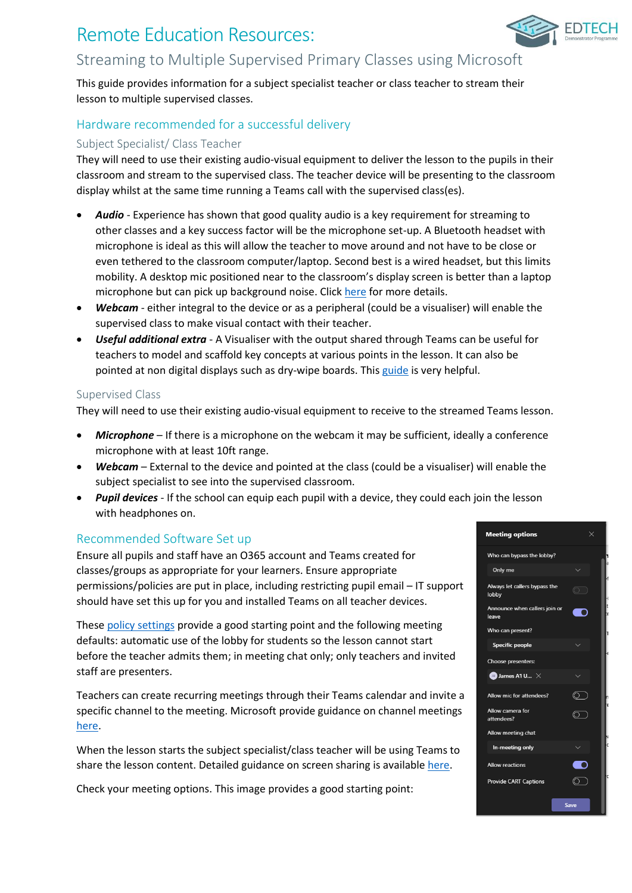# Remote Education Resources:



This guide provides information for a subject specialist teacher or class teacher to stream their lesson to multiple supervised classes.

### Hardware recommended for a successful delivery

### Subject Specialist/ Class Teacher

They will need to use their existing audio-visual equipment to deliver the lesson to the pupils in their classroom and stream to the supervised class. The teacher device will be presenting to the classroom display whilst at the same time running a Teams call with the supervised class(es).

- *Audio* Experience has shown that good quality audio is a key requirement for streaming to other classes and a key success factor will be the microphone set-up. A Bluetooth headset with microphone is ideal as this will allow the teacher to move around and not have to be close or even tethered to the classroom computer/laptop. Second best is a wired headset, but this limits mobility. A desktop mic positioned near to the classroom's display screen is better than a laptop microphone but can pick up background noise. Clic[k here](https://edtechdemo.ucst.uk/news-views/blogs-media/artmid/880/articleid/10/hybrid-lessons-overcoming-the-challenge-of-simultaneously-teaching-both-physically-present-and-remote-pupils-by-james-garnett) for more details.
- *Webcam* either integral to the device or as a peripheral (could be a visualiser) will enable the supervised class to make visual contact with their teacher.
- *Useful additional extra* A Visualiser with the output shared through Teams can be useful for teachers to model and scaffold key concepts at various points in the lesson. It can also be pointed at non digital displays such as dry-wipe boards. This [guide](https://support.microsoft.com/en-gb/office/share-whiteboards-and-documents-using-your-camera-in-teams-meetings-905b52e3-bcd7-45c5-84cc-03992d7fc84f) is very helpful.

#### Supervised Class

They will need to use their existing audio-visual equipment to receive to the streamed Teams lesson.

- *Microphone* If there is a microphone on the webcam it may be sufficient, ideally a conference microphone with at least 10ft range.
- *Webcam* External to the device and pointed at the class (could be a visualiser) will enable the subject specialist to see into the supervised classroom.
- *Pupil devices* If the school can equip each pupil with a device, they could each join the lesson with headphones on.

### Recommended Software Set up

Ensure all pupils and staff have an O365 account and Teams created for classes/groups as appropriate for your learners. Ensure appropriate permissions/policies are put in place, including restricting pupil email – IT support should have set this up for you and installed Teams on all teacher devices.

These [policy settings](https://docs.microsoft.com/en-us/microsoftteams/policy-packages-edu) provide a good starting point and the following meeting defaults: automatic use of the lobby for students so the lesson cannot start before the teacher admits them; in meeting chat only; only teachers and invited staff are presenters.

Teachers can create recurring meetings through their Teams calendar and invite a specific channel to the meeting. Microsoft provide guidance on channel meetings [here.](https://support.microsoft.com/en-gb/office/schedule-a-meeting-in-teams-943507a9-8583-4c58-b5d2-8ec8265e04e5#bkmk_makeitchannel)

When the lesson starts the subject specialist/class teacher will be using Teams to share the lesson content. Detailed guidance on screen sharing is available [here.](https://support.microsoft.com/en-us/office/show-your-screen-during-a-meeting-90c84e5a-b6fe-4ed4-9687-5923d230d3a7?ui=en-us&rs=en-us&ad=us#:~:text=1%20Select%20Share%20Share%20screen%20button%20.%202,sharing%20to%20stop%20showing%20your%20screen.%20See%20More)

Check your meeting options. This image provides a good starting point: